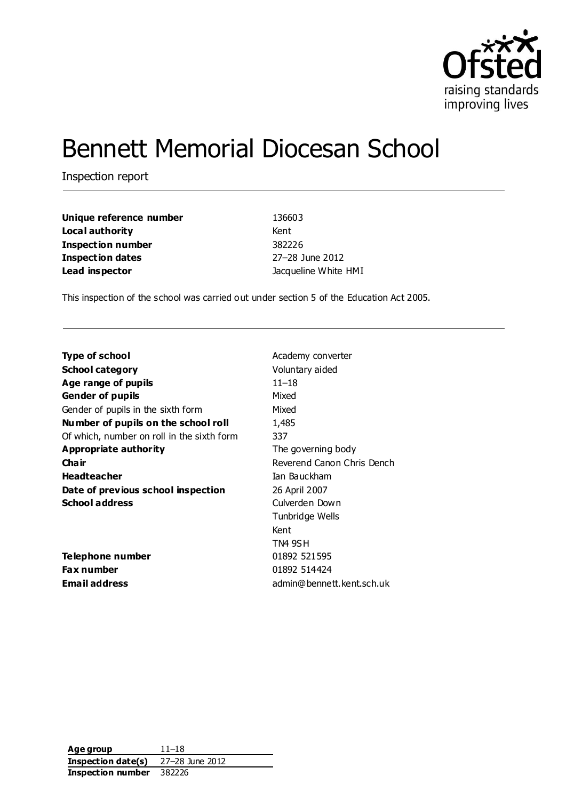

# Bennett Memorial Diocesan School

Inspection report

| Unique reference number  | 136603               |  |
|--------------------------|----------------------|--|
| Local authority          | Kent                 |  |
| <b>Inspection number</b> | 382226               |  |
| Inspection dates         | 27-28 June 2012      |  |
| Lead inspector           | Jacqueline White HMI |  |

This inspection of the school was carried out under section 5 of the Education Act 2005.

| Type of school                             | Academy converter          |
|--------------------------------------------|----------------------------|
| <b>School category</b>                     | Voluntary aided            |
| Age range of pupils                        | 11–18                      |
| <b>Gender of pupils</b>                    | Mixed                      |
| Gender of pupils in the sixth form         | Mixed                      |
| Number of pupils on the school roll        | 1,485                      |
| Of which, number on roll in the sixth form | 337                        |
| Appropriate authority                      | The governing body         |
| Cha ir                                     | Reverend Canon Chris Dench |
| <b>Headteacher</b>                         | Ian Bauckham               |
| Date of previous school inspection         | 26 April 2007              |
| <b>School address</b>                      | Culverden Down             |
|                                            | Tunbridge Wells            |
|                                            | Kent                       |
|                                            | TN4 9SH                    |
| Telephone number                           | 01892 521595               |
| <b>Fax number</b>                          | 01892 514424               |
| Email address                              | admin@bennett.kent.sch.uk  |
|                                            |                            |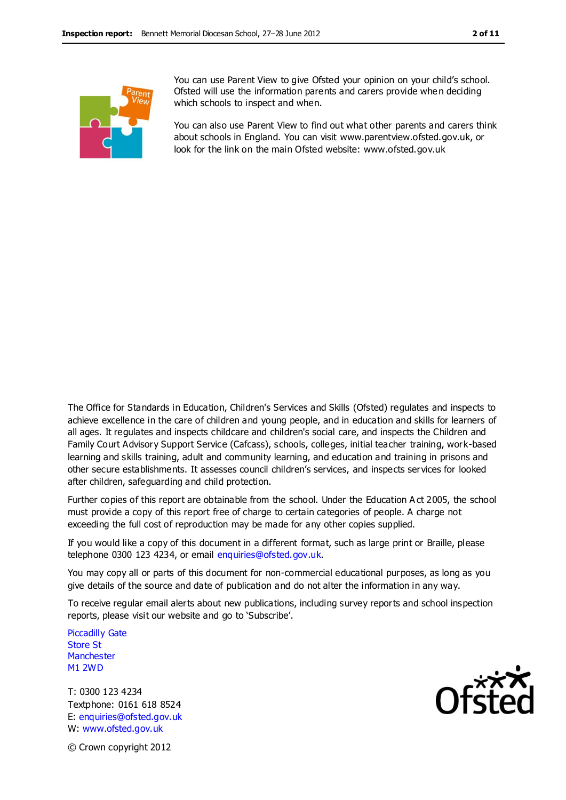

You can use Parent View to give Ofsted your opinion on your child's school. Ofsted will use the information parents and carers provide whe n deciding which schools to inspect and when.

You can also use Parent View to find out what other parents and carers think about schools in England. You can visit www.parentview.ofsted.gov.uk, or look for the link on the main Ofsted website: www.ofsted.gov.uk

The Office for Standards in Education, Children's Services and Skills (Ofsted) regulates and inspects to achieve excellence in the care of children and young people, and in education and skills for learners of all ages. It regulates and inspects childcare and children's social care, and inspects the Children and Family Court Advisory Support Service (Cafcass), schools, colleges, initial teacher training, work-based learning and skills training, adult and community learning, and education and training in prisons and other secure establishments. It assesses council children's services, and inspects services for looked after children, safeguarding and child protection.

Further copies of this report are obtainable from the school. Under the Education A ct 2005, the school must provide a copy of this report free of charge to certain categories of people. A charge not exceeding the full cost of reproduction may be made for any other copies supplied.

If you would like a copy of this document in a different format, such as large print or Braille, please telephone 0300 123 4234, or email enquiries@ofsted.gov.uk.

You may copy all or parts of this document for non-commercial educational purposes, as long as you give details of the source and date of publication and do not alter the information in any way.

To receive regular email alerts about new publications, including survey reports and school inspection reports, please visit our website and go to 'Subscribe'.

Piccadilly Gate Store St **Manchester** M1 2WD

T: 0300 123 4234 Textphone: 0161 618 8524 E: enquiries@ofsted.gov.uk W: www.ofsted.gov.uk



© Crown copyright 2012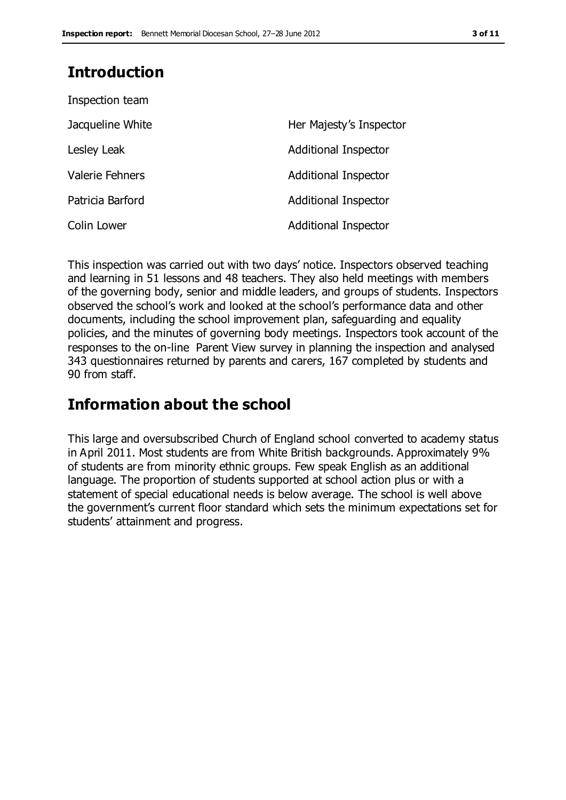## **Introduction**

| Inspection team        |                             |
|------------------------|-----------------------------|
| Jacqueline White       | Her Majesty's Inspector     |
| Lesley Leak            | Additional Inspector        |
| <b>Valerie Fehners</b> | <b>Additional Inspector</b> |
| Patricia Barford       | <b>Additional Inspector</b> |
| Colin Lower            | <b>Additional Inspector</b> |

This inspection was carried out with two days' notice. Inspectors observed teaching and learning in 51 lessons and 48 teachers. They also held meetings with members of the governing body, senior and middle leaders, and groups of students. Inspectors observed the school's work and looked at the school's performance data and other documents, including the school improvement plan, safeguarding and equality policies, and the minutes of governing body meetings. Inspectors took account of the responses to the on-line Parent View survey in planning the inspection and analysed 343 questionnaires returned by parents and carers, 167 completed by students and 90 from staff.

## **Information about the school**

This large and oversubscribed Church of England school converted to academy status in April 2011. Most students are from White British backgrounds. Approximately 9% of students are from minority ethnic groups. Few speak English as an additional language. The proportion of students supported at school action plus or with a statement of special educational needs is below average. The school is well above the government's current floor standard which sets the minimum expectations set for students' attainment and progress.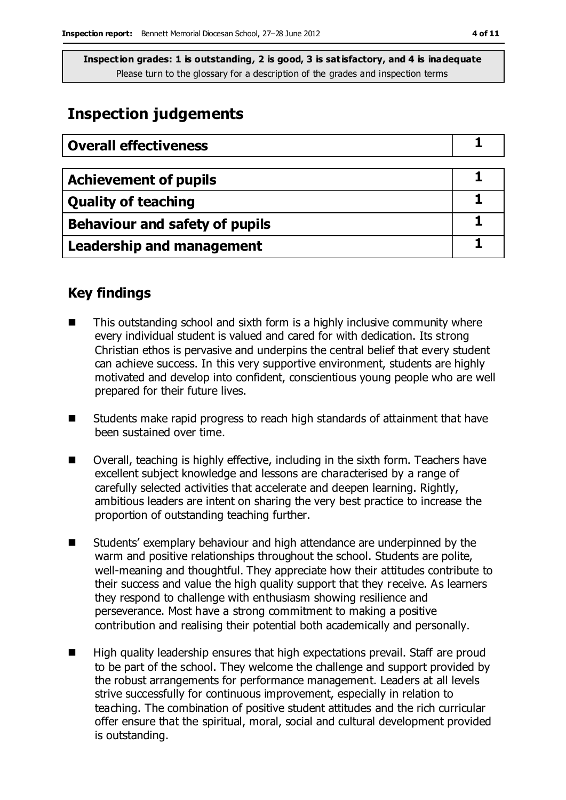## **Inspection judgements**

| <b>Overall effectiveness</b>          |  |
|---------------------------------------|--|
|                                       |  |
| <b>Achievement of pupils</b>          |  |
| <b>Quality of teaching</b>            |  |
| <b>Behaviour and safety of pupils</b> |  |
| <b>Leadership and management</b>      |  |

## **Key findings**

- This outstanding school and sixth form is a highly inclusive community where every individual student is valued and cared for with dedication. Its strong Christian ethos is pervasive and underpins the central belief that every student can achieve success. In this very supportive environment, students are highly motivated and develop into confident, conscientious young people who are well prepared for their future lives.
- Students make rapid progress to reach high standards of attainment that have been sustained over time.
- Overall, teaching is highly effective, including in the sixth form. Teachers have excellent subject knowledge and lessons are characterised by a range of carefully selected activities that accelerate and deepen learning. Rightly, ambitious leaders are intent on sharing the very best practice to increase the proportion of outstanding teaching further.
- Students' exemplary behaviour and high attendance are underpinned by the warm and positive relationships throughout the school. Students are polite, well-meaning and thoughtful. They appreciate how their attitudes contribute to their success and value the high quality support that they receive. As learners they respond to challenge with enthusiasm showing resilience and perseverance. Most have a strong commitment to making a positive contribution and realising their potential both academically and personally.
- High quality leadership ensures that high expectations prevail. Staff are proud to be part of the school. They welcome the challenge and support provided by the robust arrangements for performance management. Leaders at all levels strive successfully for continuous improvement, especially in relation to teaching. The combination of positive student attitudes and the rich curricular offer ensure that the spiritual, moral, social and cultural development provided is outstanding.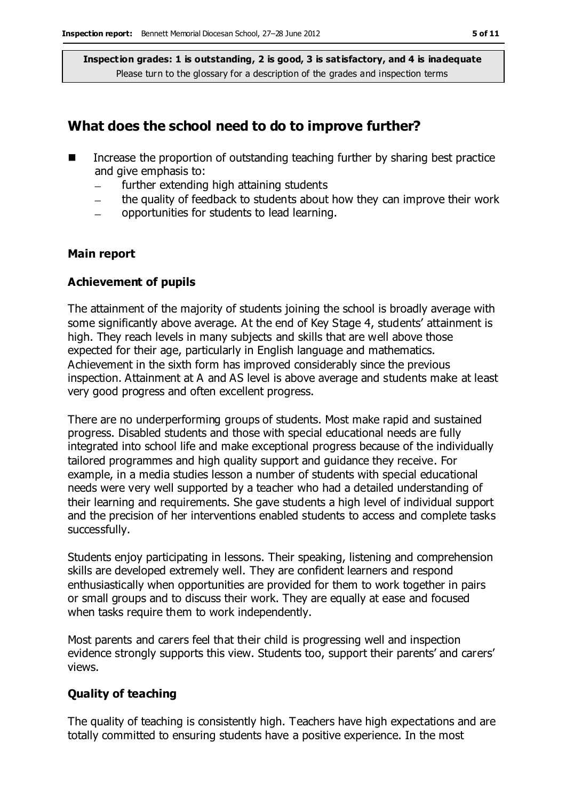### **What does the school need to do to improve further?**

- $\blacksquare$  Increase the proportion of outstanding teaching further by sharing best practice and give emphasis to:
	- further extending high attaining students
	- the quality of feedback to students about how they can improve their work
	- opportunities for students to lead learning.

#### **Main report**

#### **Achievement of pupils**

The attainment of the majority of students joining the school is broadly average with some significantly above average. At the end of Key Stage 4, students' attainment is high. They reach levels in many subjects and skills that are well above those expected for their age, particularly in English language and mathematics. Achievement in the sixth form has improved considerably since the previous inspection. Attainment at A and AS level is above average and students make at least very good progress and often excellent progress.

There are no underperforming groups of students. Most make rapid and sustained progress. Disabled students and those with special educational needs are fully integrated into school life and make exceptional progress because of the individually tailored programmes and high quality support and guidance they receive. For example, in a media studies lesson a number of students with special educational needs were very well supported by a teacher who had a detailed understanding of their learning and requirements. She gave students a high level of individual support and the precision of her interventions enabled students to access and complete tasks successfully.

Students enjoy participating in lessons. Their speaking, listening and comprehension skills are developed extremely well. They are confident learners and respond enthusiastically when opportunities are provided for them to work together in pairs or small groups and to discuss their work. They are equally at ease and focused when tasks require them to work independently.

Most parents and carers feel that their child is progressing well and inspection evidence strongly supports this view. Students too, support their parents' and carers' views.

#### **Quality of teaching**

The quality of teaching is consistently high. Teachers have high expectations and are totally committed to ensuring students have a positive experience. In the most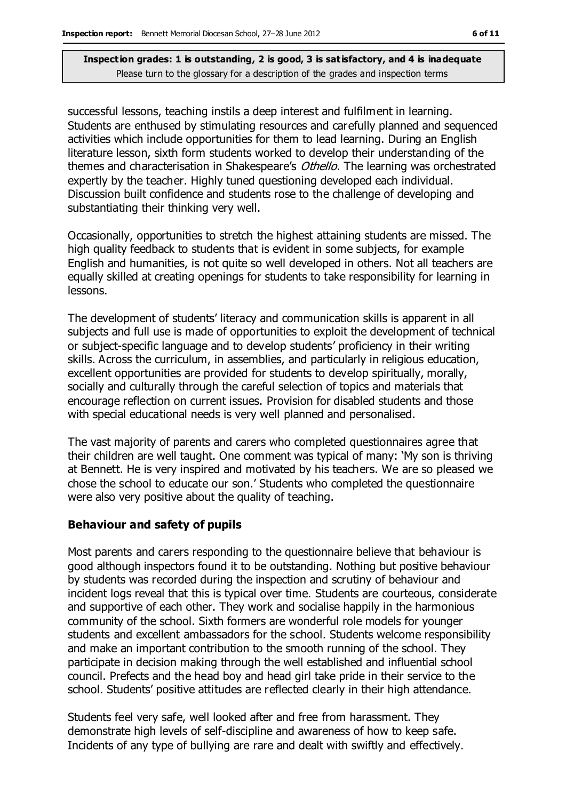successful lessons, teaching instils a deep interest and fulfilment in learning. Students are enthused by stimulating resources and carefully planned and sequenced activities which include opportunities for them to lead learning. During an English literature lesson, sixth form students worked to develop their understanding of the themes and characterisation in Shakespeare's Othello. The learning was orchestrated expertly by the teacher. Highly tuned questioning developed each individual. Discussion built confidence and students rose to the challenge of developing and substantiating their thinking very well.

Occasionally, opportunities to stretch the highest attaining students are missed. The high quality feedback to students that is evident in some subjects, for example English and humanities, is not quite so well developed in others. Not all teachers are equally skilled at creating openings for students to take responsibility for learning in lessons.

The development of students' literacy and communication skills is apparent in all subjects and full use is made of opportunities to exploit the development of technical or subject-specific language and to develop students' proficiency in their writing skills. Across the curriculum, in assemblies, and particularly in religious education, excellent opportunities are provided for students to develop spiritually, morally, socially and culturally through the careful selection of topics and materials that encourage reflection on current issues. Provision for disabled students and those with special educational needs is very well planned and personalised.

The vast majority of parents and carers who completed questionnaires agree that their children are well taught. One comment was typical of many: 'My son is thriving at Bennett. He is very inspired and motivated by his teachers. We are so pleased we chose the school to educate our son.' Students who completed the questionnaire were also very positive about the quality of teaching.

#### **Behaviour and safety of pupils**

Most parents and carers responding to the questionnaire believe that behaviour is good although inspectors found it to be outstanding. Nothing but positive behaviour by students was recorded during the inspection and scrutiny of behaviour and incident logs reveal that this is typical over time. Students are courteous, considerate and supportive of each other. They work and socialise happily in the harmonious community of the school. Sixth formers are wonderful role models for younger students and excellent ambassadors for the school. Students welcome responsibility and make an important contribution to the smooth running of the school. They participate in decision making through the well established and influential school council. Prefects and the head boy and head girl take pride in their service to the school. Students' positive attitudes are reflected clearly in their high attendance.

Students feel very safe, well looked after and free from harassment. They demonstrate high levels of self-discipline and awareness of how to keep safe. Incidents of any type of bullying are rare and dealt with swiftly and effectively.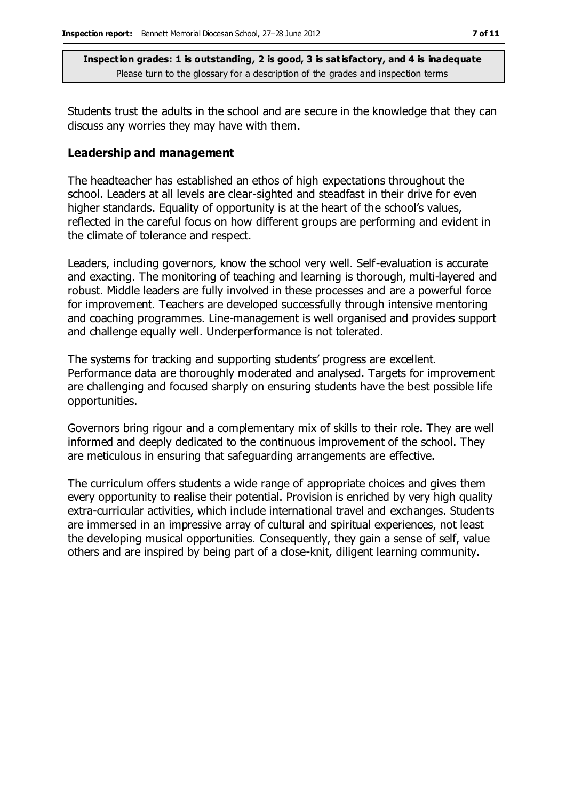Students trust the adults in the school and are secure in the knowledge that they can discuss any worries they may have with them.

#### **Leadership and management**

The headteacher has established an ethos of high expectations throughout the school. Leaders at all levels are clear-sighted and steadfast in their drive for even higher standards. Equality of opportunity is at the heart of the school's values, reflected in the careful focus on how different groups are performing and evident in the climate of tolerance and respect.

Leaders, including governors, know the school very well. Self-evaluation is accurate and exacting. The monitoring of teaching and learning is thorough, multi-layered and robust. Middle leaders are fully involved in these processes and are a powerful force for improvement. Teachers are developed successfully through intensive mentoring and coaching programmes. Line-management is well organised and provides support and challenge equally well. Underperformance is not tolerated.

The systems for tracking and supporting students' progress are excellent. Performance data are thoroughly moderated and analysed. Targets for improvement are challenging and focused sharply on ensuring students have the best possible life opportunities.

Governors bring rigour and a complementary mix of skills to their role. They are well informed and deeply dedicated to the continuous improvement of the school. They are meticulous in ensuring that safeguarding arrangements are effective.

The curriculum offers students a wide range of appropriate choices and gives them every opportunity to realise their potential. Provision is enriched by very high quality extra-curricular activities, which include international travel and exchanges. Students are immersed in an impressive array of cultural and spiritual experiences, not least the developing musical opportunities. Consequently, they gain a sense of self, value others and are inspired by being part of a close-knit, diligent learning community.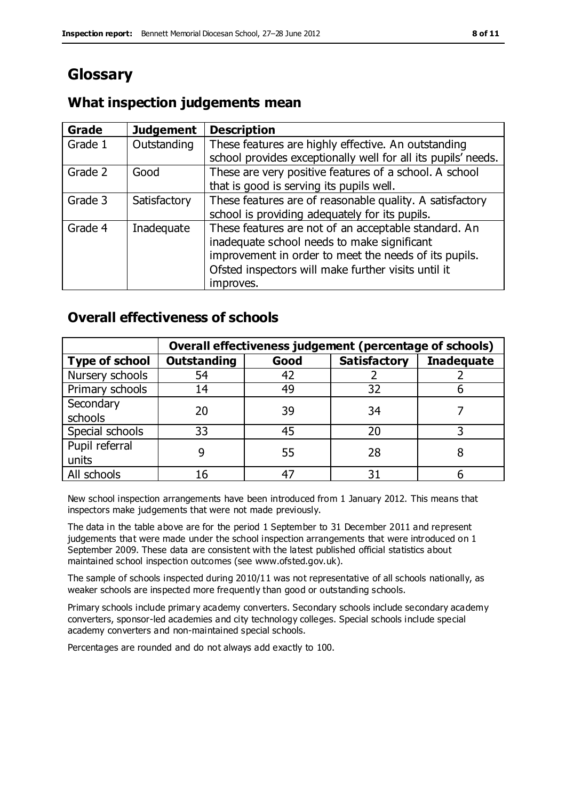## **Glossary**

#### **Grade Judgement Description** Grade  $1$  | Outstanding | These features are highly effective. An outstanding school provides exceptionally well for all its pupils' needs. Grade 2 Good These are very positive features of a school. A school that is good is serving its pupils well. Grade 3  $\parallel$  Satisfactory  $\parallel$  These features are of reasonable quality. A satisfactory school is providing adequately for its pupils. Grade 4  $\parallel$  Inadequate  $\parallel$  These features are not of an acceptable standard. An inadequate school needs to make significant improvement in order to meet the needs of its pupils. Ofsted inspectors will make further visits until it improves.

## **What inspection judgements mean**

## **Overall effectiveness of schools**

|                       | Overall effectiveness judgement (percentage of schools) |      |                     |                   |
|-----------------------|---------------------------------------------------------|------|---------------------|-------------------|
| <b>Type of school</b> | <b>Outstanding</b>                                      | Good | <b>Satisfactory</b> | <b>Inadequate</b> |
| Nursery schools       | 54                                                      | 42   |                     |                   |
| Primary schools       | 14                                                      | 49   | 32                  |                   |
| Secondary             | 20                                                      | 39   | 34                  |                   |
| schools               |                                                         |      |                     |                   |
| Special schools       | 33                                                      | 45   | 20                  |                   |
| Pupil referral        |                                                         | 55   | 28                  |                   |
| units                 |                                                         |      |                     |                   |
| All schools           |                                                         |      | م -                 |                   |

New school inspection arrangements have been introduced from 1 January 2012. This means that inspectors make judgements that were not made previously.

The data in the table above are for the period 1 September to 31 December 2011 and represent judgements that were made under the school inspection arrangements that were introduced on 1 September 2009. These data are consistent with the latest published official statistics about maintained school inspection outcomes (see www.ofsted.gov.uk).

The sample of schools inspected during 2010/11 was not representative of all schools nationally, as weaker schools are inspected more frequently than good or outstanding schools.

Primary schools include primary academy converters. Secondary schools include secondary academy converters, sponsor-led academies and city technology colleges. Special schools include special academy converters and non-maintained special schools.

Percentages are rounded and do not always add exactly to 100.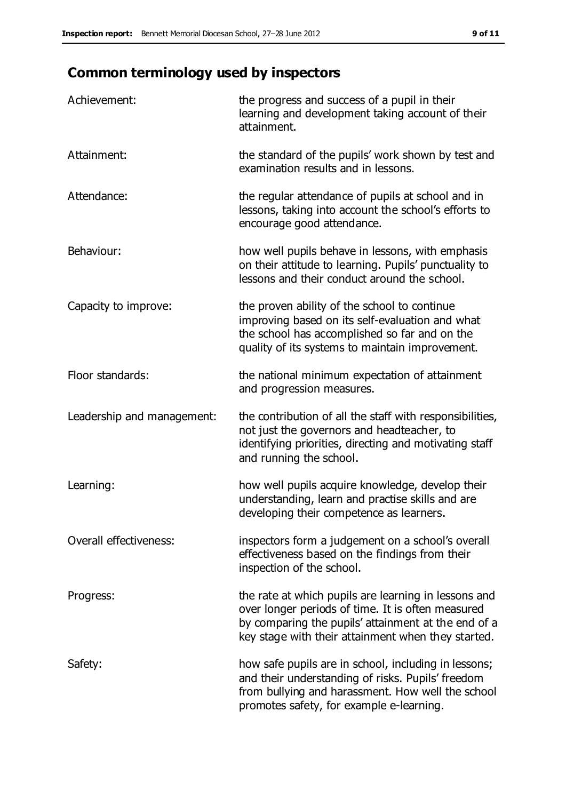## **Common terminology used by inspectors**

| Achievement:               | the progress and success of a pupil in their<br>learning and development taking account of their<br>attainment.                                                                                                        |
|----------------------------|------------------------------------------------------------------------------------------------------------------------------------------------------------------------------------------------------------------------|
| Attainment:                | the standard of the pupils' work shown by test and<br>examination results and in lessons.                                                                                                                              |
| Attendance:                | the regular attendance of pupils at school and in<br>lessons, taking into account the school's efforts to<br>encourage good attendance.                                                                                |
| Behaviour:                 | how well pupils behave in lessons, with emphasis<br>on their attitude to learning. Pupils' punctuality to<br>lessons and their conduct around the school.                                                              |
| Capacity to improve:       | the proven ability of the school to continue<br>improving based on its self-evaluation and what<br>the school has accomplished so far and on the<br>quality of its systems to maintain improvement.                    |
| Floor standards:           | the national minimum expectation of attainment<br>and progression measures.                                                                                                                                            |
| Leadership and management: | the contribution of all the staff with responsibilities,<br>not just the governors and headteacher, to<br>identifying priorities, directing and motivating staff<br>and running the school.                            |
| Learning:                  | how well pupils acquire knowledge, develop their<br>understanding, learn and practise skills and are<br>developing their competence as learners.                                                                       |
| Overall effectiveness:     | inspectors form a judgement on a school's overall<br>effectiveness based on the findings from their<br>inspection of the school.                                                                                       |
| Progress:                  | the rate at which pupils are learning in lessons and<br>over longer periods of time. It is often measured<br>by comparing the pupils' attainment at the end of a<br>key stage with their attainment when they started. |
| Safety:                    | how safe pupils are in school, including in lessons;<br>and their understanding of risks. Pupils' freedom<br>from bullying and harassment. How well the school<br>promotes safety, for example e-learning.             |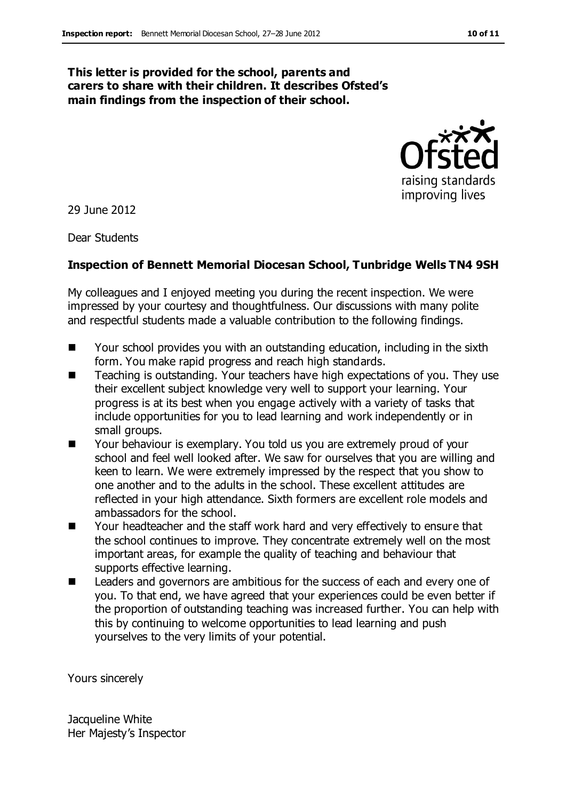#### **This letter is provided for the school, parents and carers to share with their children. It describes Ofsted's main findings from the inspection of their school.**



29 June 2012

Dear Students

#### **Inspection of Bennett Memorial Diocesan School, Tunbridge Wells TN4 9SH**

My colleagues and I enjoyed meeting you during the recent inspection. We were impressed by your courtesy and thoughtfulness. Our discussions with many polite and respectful students made a valuable contribution to the following findings.

- Your school provides you with an outstanding education, including in the sixth form. You make rapid progress and reach high standards.
- Teaching is outstanding. Your teachers have high expectations of you. They use their excellent subject knowledge very well to support your learning. Your progress is at its best when you engage actively with a variety of tasks that include opportunities for you to lead learning and work independently or in small groups.
- **Numbehaviour is exemplary. You told us you are extremely proud of your** school and feel well looked after. We saw for ourselves that you are willing and keen to learn. We were extremely impressed by the respect that you show to one another and to the adults in the school. These excellent attitudes are reflected in your high attendance. Sixth formers are excellent role models and ambassadors for the school.
- Your headteacher and the staff work hard and very effectively to ensure that the school continues to improve. They concentrate extremely well on the most important areas, for example the quality of teaching and behaviour that supports effective learning.
- Leaders and governors are ambitious for the success of each and every one of you. To that end, we have agreed that your experiences could be even better if the proportion of outstanding teaching was increased further. You can help with this by continuing to welcome opportunities to lead learning and push yourselves to the very limits of your potential.

Yours sincerely

Jacqueline White Her Majesty's Inspector